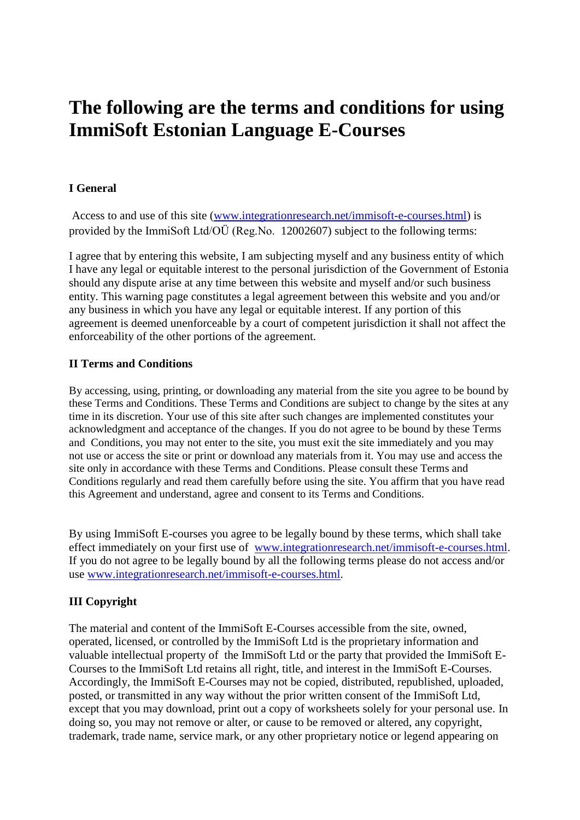# **The following are the terms and conditions for using ImmiSoft Estonian Language E-Courses**

# **I General**

Access to and use of this site [\(www.integrationresearch.net/immisoft-e-courses.html\)](http://www.integrationresearch.net/immisoft-e-courses.html) is provided by the ImmiSoft Ltd/OÜ (Reg.No. 12002607) subject to the following terms:

I agree that by entering this website, I am subjecting myself and any business entity of which I have any legal or equitable interest to the personal jurisdiction of the Government of Estonia should any dispute arise at any time between this website and myself and/or such business entity. This warning page constitutes a legal agreement between this website and you and/or any business in which you have any legal or equitable interest. If any portion of this agreement is deemed unenforceable by a court of competent jurisdiction it shall not affect the enforceability of the other portions of the agreement.

# **II Terms and Conditions**

By accessing, using, printing, or downloading any material from the site you agree to be bound by these Terms and Conditions. These Terms and Conditions are subject to change by the sites at any time in its discretion. Your use of this site after such changes are implemented constitutes your acknowledgment and acceptance of the changes. If you do not agree to be bound by these Terms and Conditions, you may not enter to the site, you must exit the site immediately and you may not use or access the site or print or download any materials from it. You may use and access the site only in accordance with these Terms and Conditions. Please consult these Terms and Conditions regularly and read them carefully before using the site. You affirm that you have read this Agreement and understand, agree and consent to its Terms and Conditions.

By using ImmiSoft E-courses you agree to be legally bound by these terms, which shall take effect immediately on your first use of [www.integrationresearch.net/immisoft-e-courses.html.](http://www.integrationresearch.net/immisoft-e-courses.html) If you do not agree to be legally bound by all the following terms please do not access and/or use [www.integrationresearch.net/immisoft-e-courses.html.](http://www.integrationresearch.net/immisoft-e-courses.html)

# **III Copyright**

The material and content of the ImmiSoft E-Courses accessible from the site, owned, operated, licensed, or controlled by the ImmiSoft Ltd is the proprietary information and valuable intellectual property of the ImmiSoft Ltd or the party that provided the ImmiSoft E-Courses to the ImmiSoft Ltd retains all right, title, and interest in the ImmiSoft E-Courses. Accordingly, the ImmiSoft E-Courses may not be copied, distributed, republished, uploaded, posted, or transmitted in any way without the prior written consent of the ImmiSoft Ltd, except that you may download, print out a copy of worksheets solely for your personal use. In doing so, you may not remove or alter, or cause to be removed or altered, any copyright, trademark, trade name, service mark, or any other proprietary notice or legend appearing on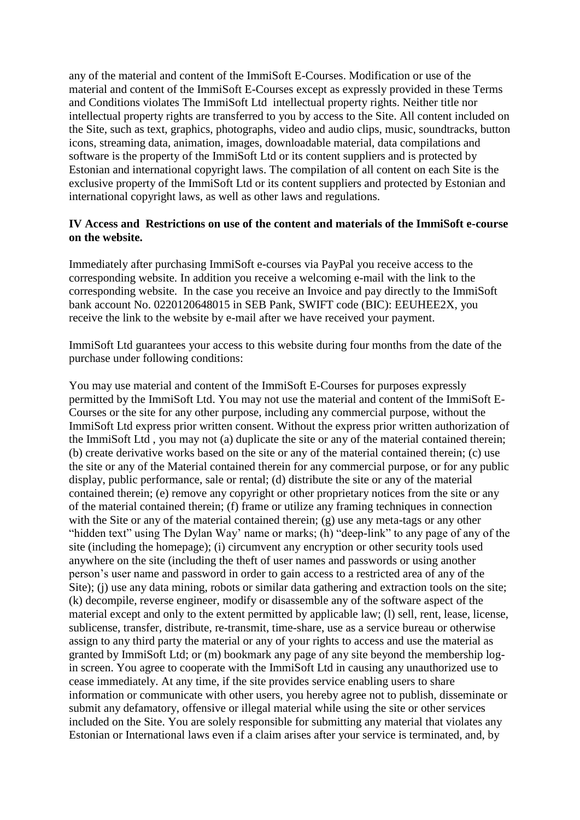any of the material and content of the ImmiSoft E-Courses. Modification or use of the material and content of the ImmiSoft E-Courses except as expressly provided in these Terms and Conditions violates The ImmiSoft Ltd intellectual property rights. Neither title nor intellectual property rights are transferred to you by access to the Site. All content included on the Site, such as text, graphics, photographs, video and audio clips, music, soundtracks, button icons, streaming data, animation, images, downloadable material, data compilations and software is the property of the ImmiSoft Ltd or its content suppliers and is protected by Estonian and international copyright laws. The compilation of all content on each Site is the exclusive property of the ImmiSoft Ltd or its content suppliers and protected by Estonian and international copyright laws, as well as other laws and regulations.

#### **IV Access and Restrictions on use of the content and materials of the ImmiSoft e-course on the website.**

Immediately after purchasing ImmiSoft e-courses via PayPal you receive access to the corresponding website. In addition you receive a welcoming e-mail with the link to the corresponding website. In the case you receive an Invoice and pay directly to the ImmiSoft bank account No. 0220120648015 in SEB Pank, SWIFT code (BIC): EEUHEE2X, you receive the link to the website by e-mail after we have received your payment.

ImmiSoft Ltd guarantees your access to this website during four months from the date of the purchase under following conditions:

You may use material and content of the ImmiSoft E-Courses for purposes expressly permitted by the ImmiSoft Ltd. You may not use the material and content of the ImmiSoft E-Courses or the site for any other purpose, including any commercial purpose, without the ImmiSoft Ltd express prior written consent. Without the express prior written authorization of the ImmiSoft Ltd , you may not (a) duplicate the site or any of the material contained therein; (b) create derivative works based on the site or any of the material contained therein; (c) use the site or any of the Material contained therein for any commercial purpose, or for any public display, public performance, sale or rental; (d) distribute the site or any of the material contained therein; (e) remove any copyright or other proprietary notices from the site or any of the material contained therein; (f) frame or utilize any framing techniques in connection with the Site or any of the material contained therein; (g) use any meta-tags or any other "hidden text" using The Dylan Way' name or marks; (h) "deep-link" to any page of any of the site (including the homepage); (i) circumvent any encryption or other security tools used anywhere on the site (including the theft of user names and passwords or using another person's user name and password in order to gain access to a restricted area of any of the Site); (i) use any data mining, robots or similar data gathering and extraction tools on the site; (k) decompile, reverse engineer, modify or disassemble any of the software aspect of the material except and only to the extent permitted by applicable law; (l) sell, rent, lease, license, sublicense, transfer, distribute, re-transmit, time-share, use as a service bureau or otherwise assign to any third party the material or any of your rights to access and use the material as granted by ImmiSoft Ltd; or (m) bookmark any page of any site beyond the membership login screen. You agree to cooperate with the ImmiSoft Ltd in causing any unauthorized use to cease immediately. At any time, if the site provides service enabling users to share information or communicate with other users, you hereby agree not to publish, disseminate or submit any defamatory, offensive or illegal material while using the site or other services included on the Site. You are solely responsible for submitting any material that violates any Estonian or International laws even if a claim arises after your service is terminated, and, by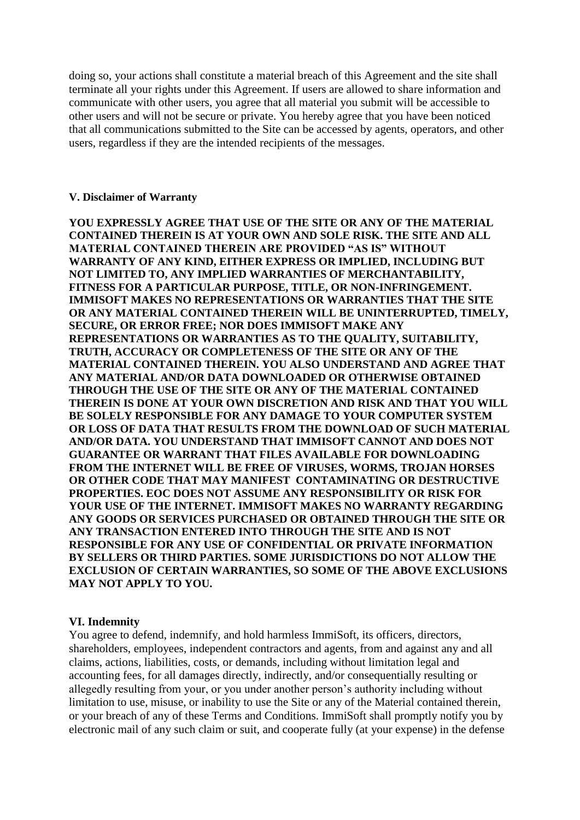doing so, your actions shall constitute a material breach of this Agreement and the site shall terminate all your rights under this Agreement. If users are allowed to share information and communicate with other users, you agree that all material you submit will be accessible to other users and will not be secure or private. You hereby agree that you have been noticed that all communications submitted to the Site can be accessed by agents, operators, and other users, regardless if they are the intended recipients of the messages.

#### **V. Disclaimer of Warranty**

**YOU EXPRESSLY AGREE THAT USE OF THE SITE OR ANY OF THE MATERIAL CONTAINED THEREIN IS AT YOUR OWN AND SOLE RISK. THE SITE AND ALL MATERIAL CONTAINED THEREIN ARE PROVIDED "AS IS" WITHOUT WARRANTY OF ANY KIND, EITHER EXPRESS OR IMPLIED, INCLUDING BUT NOT LIMITED TO, ANY IMPLIED WARRANTIES OF MERCHANTABILITY, FITNESS FOR A PARTICULAR PURPOSE, TITLE, OR NON-INFRINGEMENT. IMMISOFT MAKES NO REPRESENTATIONS OR WARRANTIES THAT THE SITE OR ANY MATERIAL CONTAINED THEREIN WILL BE UNINTERRUPTED, TIMELY, SECURE, OR ERROR FREE; NOR DOES IMMISOFT MAKE ANY REPRESENTATIONS OR WARRANTIES AS TO THE QUALITY, SUITABILITY, TRUTH, ACCURACY OR COMPLETENESS OF THE SITE OR ANY OF THE MATERIAL CONTAINED THEREIN. YOU ALSO UNDERSTAND AND AGREE THAT ANY MATERIAL AND/OR DATA DOWNLOADED OR OTHERWISE OBTAINED THROUGH THE USE OF THE SITE OR ANY OF THE MATERIAL CONTAINED THEREIN IS DONE AT YOUR OWN DISCRETION AND RISK AND THAT YOU WILL BE SOLELY RESPONSIBLE FOR ANY DAMAGE TO YOUR COMPUTER SYSTEM OR LOSS OF DATA THAT RESULTS FROM THE DOWNLOAD OF SUCH MATERIAL AND/OR DATA. YOU UNDERSTAND THAT IMMISOFT CANNOT AND DOES NOT GUARANTEE OR WARRANT THAT FILES AVAILABLE FOR DOWNLOADING FROM THE INTERNET WILL BE FREE OF VIRUSES, WORMS, TROJAN HORSES OR OTHER CODE THAT MAY MANIFEST CONTAMINATING OR DESTRUCTIVE PROPERTIES. EOC DOES NOT ASSUME ANY RESPONSIBILITY OR RISK FOR YOUR USE OF THE INTERNET. IMMISOFT MAKES NO WARRANTY REGARDING ANY GOODS OR SERVICES PURCHASED OR OBTAINED THROUGH THE SITE OR ANY TRANSACTION ENTERED INTO THROUGH THE SITE AND IS NOT RESPONSIBLE FOR ANY USE OF CONFIDENTIAL OR PRIVATE INFORMATION BY SELLERS OR THIRD PARTIES. SOME JURISDICTIONS DO NOT ALLOW THE EXCLUSION OF CERTAIN WARRANTIES, SO SOME OF THE ABOVE EXCLUSIONS MAY NOT APPLY TO YOU.**

#### **VI. Indemnity**

You agree to defend, indemnify, and hold harmless ImmiSoft, its officers, directors, shareholders, employees, independent contractors and agents, from and against any and all claims, actions, liabilities, costs, or demands, including without limitation legal and accounting fees, for all damages directly, indirectly, and/or consequentially resulting or allegedly resulting from your, or you under another person's authority including without limitation to use, misuse, or inability to use the Site or any of the Material contained therein, or your breach of any of these Terms and Conditions. ImmiSoft shall promptly notify you by electronic mail of any such claim or suit, and cooperate fully (at your expense) in the defense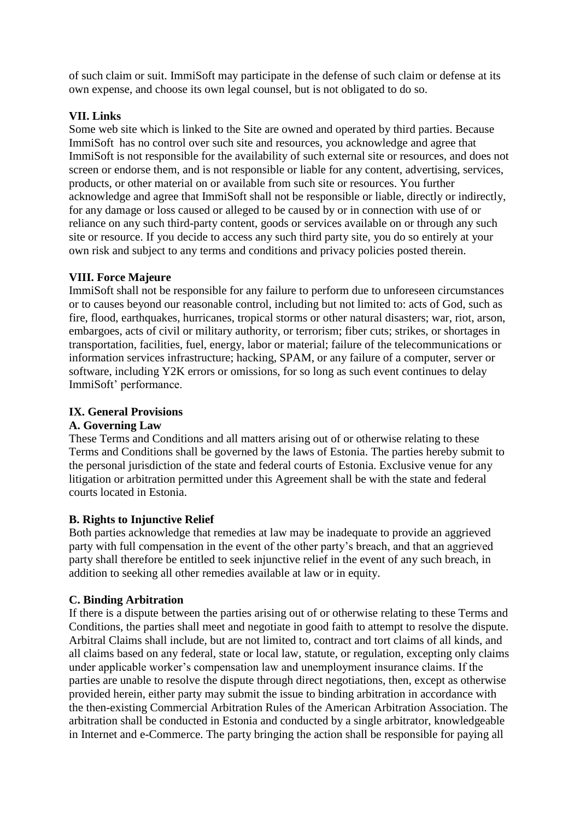of such claim or suit. ImmiSoft may participate in the defense of such claim or defense at its own expense, and choose its own legal counsel, but is not obligated to do so.

## **VII. Links**

Some web site which is linked to the Site are owned and operated by third parties. Because ImmiSoft has no control over such site and resources, you acknowledge and agree that ImmiSoft is not responsible for the availability of such external site or resources, and does not screen or endorse them, and is not responsible or liable for any content, advertising, services, products, or other material on or available from such site or resources. You further acknowledge and agree that ImmiSoft shall not be responsible or liable, directly or indirectly, for any damage or loss caused or alleged to be caused by or in connection with use of or reliance on any such third-party content, goods or services available on or through any such site or resource. If you decide to access any such third party site, you do so entirely at your own risk and subject to any terms and conditions and privacy policies posted therein.

#### **VIII. Force Majeure**

ImmiSoft shall not be responsible for any failure to perform due to unforeseen circumstances or to causes beyond our reasonable control, including but not limited to: acts of God, such as fire, flood, earthquakes, hurricanes, tropical storms or other natural disasters; war, riot, arson, embargoes, acts of civil or military authority, or terrorism; fiber cuts; strikes, or shortages in transportation, facilities, fuel, energy, labor or material; failure of the telecommunications or information services infrastructure; hacking, SPAM, or any failure of a computer, server or software, including Y2K errors or omissions, for so long as such event continues to delay ImmiSoft' performance.

## **IX. General Provisions**

#### **A. Governing Law**

These Terms and Conditions and all matters arising out of or otherwise relating to these Terms and Conditions shall be governed by the laws of Estonia. The parties hereby submit to the personal jurisdiction of the state and federal courts of Estonia. Exclusive venue for any litigation or arbitration permitted under this Agreement shall be with the state and federal courts located in Estonia.

#### **B. Rights to Injunctive Relief**

Both parties acknowledge that remedies at law may be inadequate to provide an aggrieved party with full compensation in the event of the other party's breach, and that an aggrieved party shall therefore be entitled to seek injunctive relief in the event of any such breach, in addition to seeking all other remedies available at law or in equity.

#### **C. Binding Arbitration**

If there is a dispute between the parties arising out of or otherwise relating to these Terms and Conditions, the parties shall meet and negotiate in good faith to attempt to resolve the dispute. Arbitral Claims shall include, but are not limited to, contract and tort claims of all kinds, and all claims based on any federal, state or local law, statute, or regulation, excepting only claims under applicable worker's compensation law and unemployment insurance claims. If the parties are unable to resolve the dispute through direct negotiations, then, except as otherwise provided herein, either party may submit the issue to binding arbitration in accordance with the then-existing Commercial Arbitration Rules of the American Arbitration Association. The arbitration shall be conducted in Estonia and conducted by a single arbitrator, knowledgeable in Internet and e-Commerce. The party bringing the action shall be responsible for paying all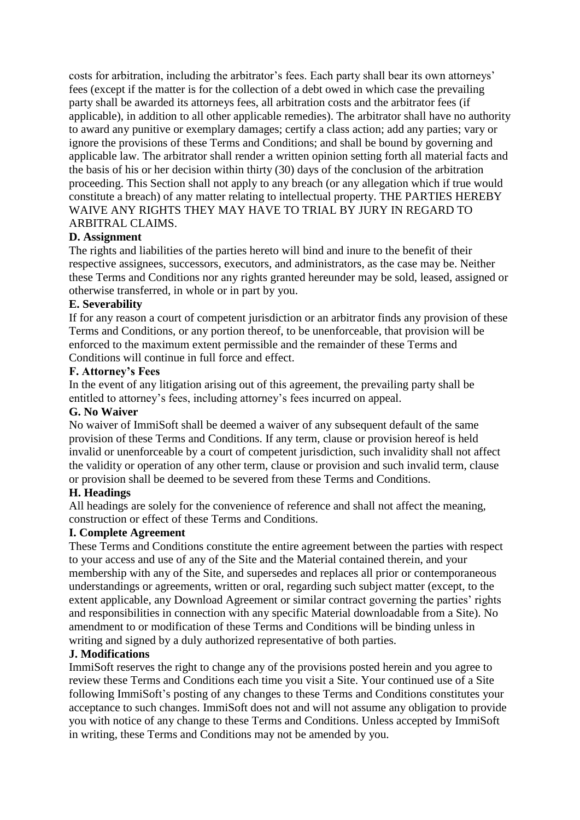costs for arbitration, including the arbitrator's fees. Each party shall bear its own attorneys' fees (except if the matter is for the collection of a debt owed in which case the prevailing party shall be awarded its attorneys fees, all arbitration costs and the arbitrator fees (if applicable), in addition to all other applicable remedies). The arbitrator shall have no authority to award any punitive or exemplary damages; certify a class action; add any parties; vary or ignore the provisions of these Terms and Conditions; and shall be bound by governing and applicable law. The arbitrator shall render a written opinion setting forth all material facts and the basis of his or her decision within thirty (30) days of the conclusion of the arbitration proceeding. This Section shall not apply to any breach (or any allegation which if true would constitute a breach) of any matter relating to intellectual property. THE PARTIES HEREBY WAIVE ANY RIGHTS THEY MAY HAVE TO TRIAL BY JURY IN REGARD TO ARBITRAL CLAIMS.

## **D. Assignment**

The rights and liabilities of the parties hereto will bind and inure to the benefit of their respective assignees, successors, executors, and administrators, as the case may be. Neither these Terms and Conditions nor any rights granted hereunder may be sold, leased, assigned or otherwise transferred, in whole or in part by you.

#### **E. Severability**

If for any reason a court of competent jurisdiction or an arbitrator finds any provision of these Terms and Conditions, or any portion thereof, to be unenforceable, that provision will be enforced to the maximum extent permissible and the remainder of these Terms and Conditions will continue in full force and effect.

#### **F. Attorney's Fees**

In the event of any litigation arising out of this agreement, the prevailing party shall be entitled to attorney's fees, including attorney's fees incurred on appeal.

#### **G. No Waiver**

No waiver of ImmiSoft shall be deemed a waiver of any subsequent default of the same provision of these Terms and Conditions. If any term, clause or provision hereof is held invalid or unenforceable by a court of competent jurisdiction, such invalidity shall not affect the validity or operation of any other term, clause or provision and such invalid term, clause or provision shall be deemed to be severed from these Terms and Conditions.

## **H. Headings**

All headings are solely for the convenience of reference and shall not affect the meaning, construction or effect of these Terms and Conditions.

#### **I. Complete Agreement**

These Terms and Conditions constitute the entire agreement between the parties with respect to your access and use of any of the Site and the Material contained therein, and your membership with any of the Site, and supersedes and replaces all prior or contemporaneous understandings or agreements, written or oral, regarding such subject matter (except, to the extent applicable, any Download Agreement or similar contract governing the parties' rights and responsibilities in connection with any specific Material downloadable from a Site). No amendment to or modification of these Terms and Conditions will be binding unless in writing and signed by a duly authorized representative of both parties.

#### **J. Modifications**

ImmiSoft reserves the right to change any of the provisions posted herein and you agree to review these Terms and Conditions each time you visit a Site. Your continued use of a Site following ImmiSoft's posting of any changes to these Terms and Conditions constitutes your acceptance to such changes. ImmiSoft does not and will not assume any obligation to provide you with notice of any change to these Terms and Conditions. Unless accepted by ImmiSoft in writing, these Terms and Conditions may not be amended by you.